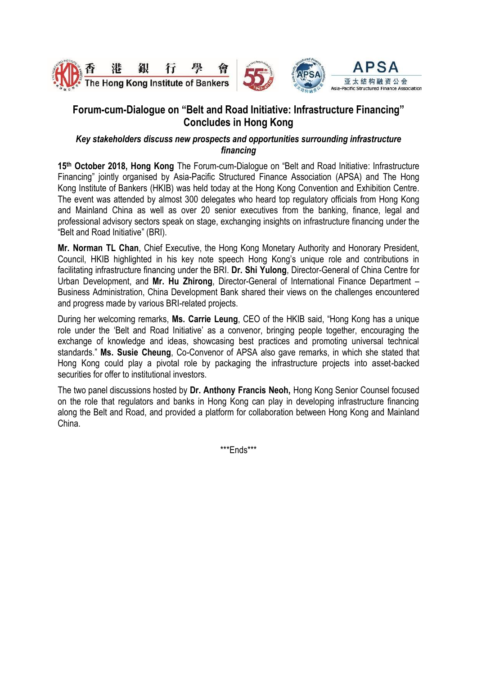





# **Forum-cum-Dialogue on "Belt and Road Initiative: Infrastructure Financing" Concludes in Hong Kong**

### *Key stakeholders discuss new prospects and opportunities surrounding infrastructure financing*

**15th October 2018, Hong Kong** The Forum-cum-Dialogue on "Belt and Road Initiative: Infrastructure Financing" jointly organised by Asia-Pacific Structured Finance Association (APSA) and The Hong Kong Institute of Bankers (HKIB) was held today at the Hong Kong Convention and Exhibition Centre. The event was attended by almost 300 delegates who heard top regulatory officials from Hong Kong and Mainland China as well as over 20 senior executives from the banking, finance, legal and professional advisory sectors speak on stage, exchanging insights on infrastructure financing under the "Belt and Road Initiative" (BRI).

**Mr. Norman TL Chan**, Chief Executive, the Hong Kong Monetary Authority and Honorary President, Council, HKIB highlighted in his key note speech Hong Kong's unique role and contributions in facilitating infrastructure financing under the BRI. **Dr. Shi Yulong**, Director-General of China Centre for Urban Development, and **Mr. Hu Zhirong**, Director-General of International Finance Department – Business Administration, China Development Bank shared their views on the challenges encountered and progress made by various BRI-related projects.

During her welcoming remarks, **Ms. Carrie Leung**, CEO of the HKIB said, "Hong Kong has a unique role under the 'Belt and Road Initiative' as a convenor, bringing people together, encouraging the exchange of knowledge and ideas, showcasing best practices and promoting universal technical standards." **Ms. Susie Cheung**, Co-Convenor of APSA also gave remarks, in which she stated that Hong Kong could play a pivotal role by packaging the infrastructure projects into asset-backed securities for offer to institutional investors.

The two panel discussions hosted by **Dr. Anthony Francis Neoh,** Hong Kong Senior Counsel focused on the role that regulators and banks in Hong Kong can play in developing infrastructure financing along the Belt and Road, and provided a platform for collaboration between Hong Kong and Mainland China.

\*\*\*Ends\*\*\*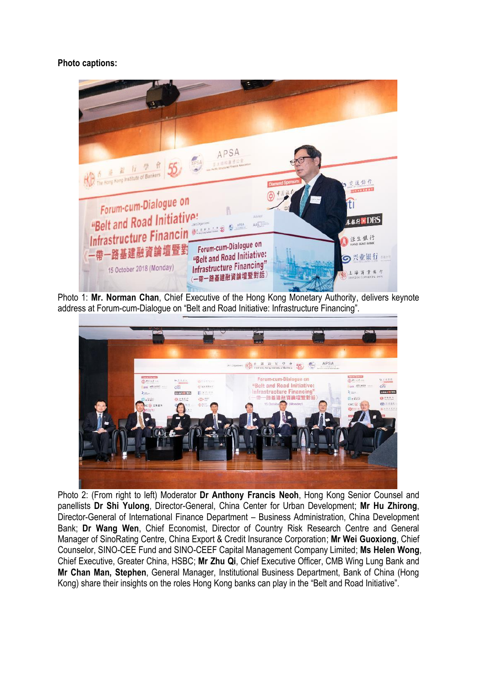## **Photo captions:**



Photo 1: **Mr. Norman Chan**, Chief Executive of the Hong Kong Monetary Authority, delivers keynote address at Forum-cum-Dialogue on "Belt and Road Initiative: Infrastructure Financing".



Photo 2: (From right to left) Moderator **Dr Anthony Francis Neoh**, Hong Kong Senior Counsel and panellists **Dr Shi Yulong**, Director-General, China Center for Urban Development; **Mr Hu Zhirong**, Director-General of International Finance Department – Business Administration, China Development Bank; **Dr Wang Wen**, Chief Economist, Director of Country Risk Research Centre and General Manager of SinoRating Centre, China Export & Credit Insurance Corporation; **Mr Wei Guoxiong**, Chief Counselor, SINO-CEE Fund and SINO-CEEF Capital Management Company Limited; **Ms Helen Wong**, Chief Executive, Greater China, HSBC; **Mr Zhu Qi**, Chief Executive Officer, CMB Wing Lung Bank and **Mr Chan Man, Stephen**, General Manager, Institutional Business Department, Bank of China (Hong Kong) share their insights on the roles Hong Kong banks can play in the "Belt and Road Initiative".